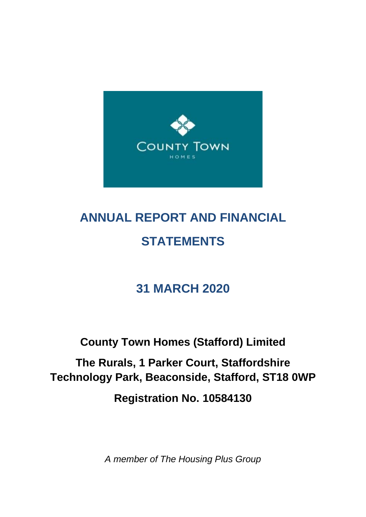

# **ANNUAL REPORT AND FINANCIAL STATEMENTS**

## **31 MARCH 2020**

## **County Town Homes (Stafford) Limited**

**The Rurals, 1 Parker Court, Staffordshire Technology Park, Beaconside, Stafford, ST18 0WP**

**Registration No. 10584130**

*A member of The Housing Plus Group*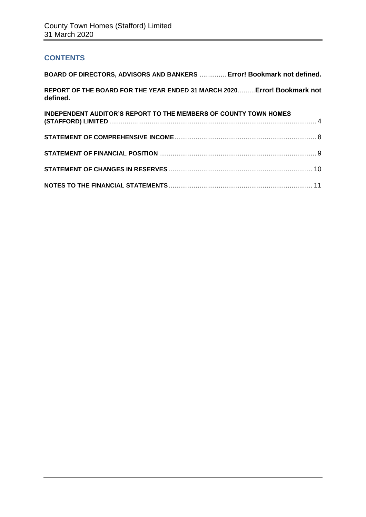## **CONTENTS**

**BOARD OF DIRECTORS, ADVISORS AND BANKERS** .............. **Error! Bookmark not defined.**

**REPORT OF THE BOARD FOR THE YEAR ENDED 31 MARCH 2020**.........**Error! Bookmark not defined.**

| INDEPENDENT AUDITOR'S REPORT TO THE MEMBERS OF COUNTY TOWN HOMES |  |
|------------------------------------------------------------------|--|
|                                                                  |  |
|                                                                  |  |
|                                                                  |  |
|                                                                  |  |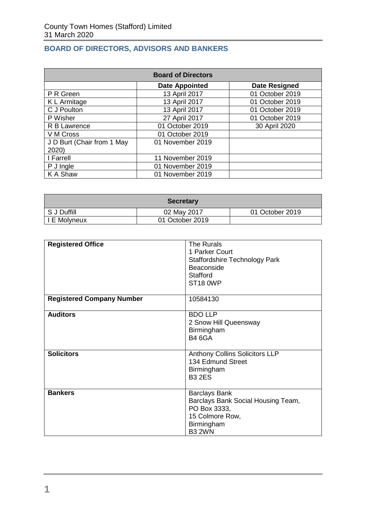## **BOARD OF DIRECTORS, ADVISORS AND BANKERS**

| <b>Board of Directors</b>  |                       |                      |  |
|----------------------------|-----------------------|----------------------|--|
|                            | <b>Date Appointed</b> | <b>Date Resigned</b> |  |
| P R Green                  | 13 April 2017         | 01 October 2019      |  |
| K L Armitage               | 13 April 2017         | 01 October 2019      |  |
| C J Poulton                | 13 April 2017         | 01 October 2019      |  |
| P Wisher                   | 27 April 2017         | 01 October 2019      |  |
| R B Lawrence               | 01 October 2019       | 30 April 2020        |  |
| V M Cross                  | 01 October 2019       |                      |  |
| J D Burt (Chair from 1 May | 01 November 2019      |                      |  |
| 2020)                      |                       |                      |  |
| I Farrell                  | 11 November 2019      |                      |  |
| P J Ingle                  | 01 November 2019      |                      |  |
| K A Shaw                   | 01 November 2019      |                      |  |

| <b>Secretary</b> |                 |                 |  |
|------------------|-----------------|-----------------|--|
| S J Duffill      | 02 May 2017     | 01 October 2019 |  |
| I E Molyneux     | 01 October 2019 |                 |  |

| <b>Registered Office</b>         | <b>The Rurals</b><br>1 Parker Court<br>Staffordshire Technology Park<br>Beaconside<br><b>Stafford</b><br>ST <sub>18</sub> OWP |
|----------------------------------|-------------------------------------------------------------------------------------------------------------------------------|
| <b>Registered Company Number</b> | 10584130                                                                                                                      |
| <b>Auditors</b>                  | <b>BDO LLP</b><br>2 Snow Hill Queensway<br>Birmingham<br><b>B4 6GA</b>                                                        |
| <b>Solicitors</b>                | <b>Anthony Collins Solicitors LLP</b><br>134 Edmund Street<br>Birmingham<br><b>B3 2ES</b>                                     |
| <b>Bankers</b>                   | <b>Barclays Bank</b><br>Barclays Bank Social Housing Team,<br>PO Box 3333,<br>15 Colmore Row,<br>Birmingham<br><b>B3 2WN</b>  |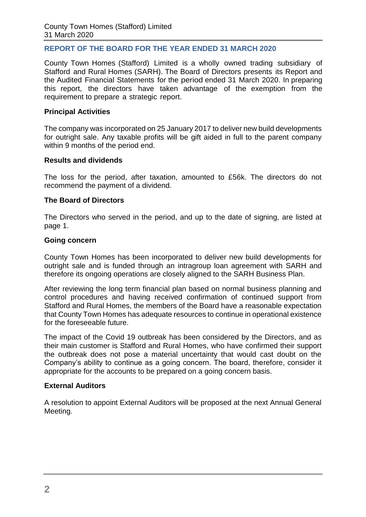#### **REPORT OF THE BOARD FOR THE YEAR ENDED 31 MARCH 2020**

County Town Homes (Stafford) Limited is a wholly owned trading subsidiary of Stafford and Rural Homes (SARH). The Board of Directors presents its Report and the Audited Financial Statements for the period ended 31 March 2020. In preparing this report, the directors have taken advantage of the exemption from the requirement to prepare a strategic report.

#### **Principal Activities**

The company was incorporated on 25 January 2017 to deliver new build developments for outright sale. Any taxable profits will be gift aided in full to the parent company within 9 months of the period end.

#### **Results and dividends**

The loss for the period, after taxation, amounted to £56k. The directors do not recommend the payment of a dividend.

#### **The Board of Directors**

The Directors who served in the period, and up to the date of signing, are listed at page 1.

#### **Going concern**

County Town Homes has been incorporated to deliver new build developments for outright sale and is funded through an intragroup loan agreement with SARH and therefore its ongoing operations are closely aligned to the SARH Business Plan.

After reviewing the long term financial plan based on normal business planning and control procedures and having received confirmation of continued support from Stafford and Rural Homes, the members of the Board have a reasonable expectation that County Town Homes has adequate resources to continue in operational existence for the foreseeable future.

The impact of the Covid 19 outbreak has been considered by the Directors, and as their main customer is Stafford and Rural Homes, who have confirmed their support the outbreak does not pose a material uncertainty that would cast doubt on the Company's ability to continue as a going concern. The board, therefore, consider it appropriate for the accounts to be prepared on a going concern basis.

#### **External Auditors**

A resolution to appoint External Auditors will be proposed at the next Annual General Meeting.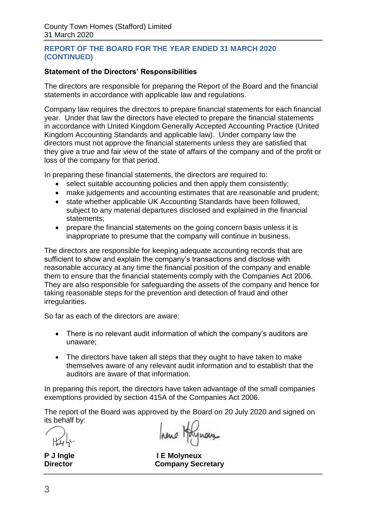#### **REPORT OF THE BOARD FOR THE YEAR ENDED 31 MARCH 2020 (CONTINUED)**

#### **Statement of the Directors' Responsibilities**

The directors are responsible for preparing the Report of the Board and the financial statements in accordance with applicable law and regulations.

Company law requires the directors to prepare financial statements for each financial year. Under that law the directors have elected to prepare the financial statements in accordance with United Kingdom Generally Accepted Accounting Practice (United Kingdom Accounting Standards and applicable law). Under company law the directors must not approve the financial statements unless they are satisfied that they give a true and fair view of the state of affairs of the company and of the profit or loss of the company for that period.

In preparing these financial statements, the directors are required to:

- select suitable accounting policies and then apply them consistently;
- make judgements and accounting estimates that are reasonable and prudent;
- state whether applicable UK Accounting Standards have been followed, subject to any material departures disclosed and explained in the financial statements;
- prepare the financial statements on the going concern basis unless it is inappropriate to presume that the company will continue in business.

The directors are responsible for keeping adequate accounting records that are sufficient to show and explain the company's transactions and disclose with reasonable accuracy at any time the financial position of the company and enable them to ensure that the financial statements comply with the Companies Act 2006. They are also responsible for safeguarding the assets of the company and hence for taking reasonable steps for the prevention and detection of fraud and other irregularities.

So far as each of the directors are aware:

- There is no relevant audit information of which the company's auditors are unaware;
- The directors have taken all steps that they ought to have taken to make themselves aware of any relevant audit information and to establish that the auditors are aware of that information.

In preparing this report, the directors have taken advantage of the small companies exemptions provided by section 415A of the Companies Act 2006.

The report of the Board was approved by the Board on 20 July 2020 and signed on its behalf by:

**P J Ingle I E Molyneux Director Company Secretary**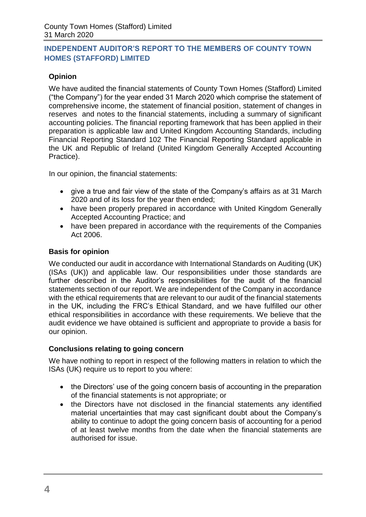## <span id="page-5-0"></span>**INDEPENDENT AUDITOR'S REPORT TO THE MEMBERS OF COUNTY TOWN HOMES (STAFFORD) LIMITED**

## **Opinion**

We have audited the financial statements of County Town Homes (Stafford) Limited ("the Company") for the year ended 31 March 2020 which comprise the statement of comprehensive income, the statement of financial position, statement of changes in reserves and notes to the financial statements, including a summary of significant accounting policies. The financial reporting framework that has been applied in their preparation is applicable law and United Kingdom Accounting Standards, including Financial Reporting Standard 102 The Financial Reporting Standard applicable in the UK and Republic of Ireland (United Kingdom Generally Accepted Accounting Practice).

In our opinion, the financial statements:

- give a true and fair view of the state of the Company's affairs as at 31 March 2020 and of its loss for the year then ended;
- have been properly prepared in accordance with United Kingdom Generally Accepted Accounting Practice; and
- have been prepared in accordance with the requirements of the Companies Act 2006.

#### **Basis for opinion**

We conducted our audit in accordance with International Standards on Auditing (UK) (ISAs (UK)) and applicable law. Our responsibilities under those standards are further described in the Auditor's responsibilities for the audit of the financial statements section of our report. We are independent of the Company in accordance with the ethical requirements that are relevant to our audit of the financial statements in the UK, including the FRC's Ethical Standard, and we have fulfilled our other ethical responsibilities in accordance with these requirements. We believe that the audit evidence we have obtained is sufficient and appropriate to provide a basis for our opinion.

#### **Conclusions relating to going concern**

We have nothing to report in respect of the following matters in relation to which the ISAs (UK) require us to report to you where:

- the Directors' use of the going concern basis of accounting in the preparation of the financial statements is not appropriate; or
- the Directors have not disclosed in the financial statements any identified material uncertainties that may cast significant doubt about the Company's ability to continue to adopt the going concern basis of accounting for a period of at least twelve months from the date when the financial statements are authorised for issue.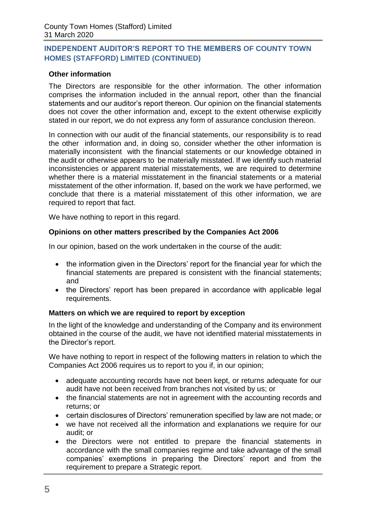## **INDEPENDENT AUDITOR'S REPORT TO THE MEMBERS OF COUNTY TOWN HOMES (STAFFORD) LIMITED (CONTINUED)**

#### **Other information**

The Directors are responsible for the other information. The other information comprises the information included in the annual report, other than the financial statements and our auditor's report thereon. Our opinion on the financial statements does not cover the other information and, except to the extent otherwise explicitly stated in our report, we do not express any form of assurance conclusion thereon.

In connection with our audit of the financial statements, our responsibility is to read the other information and, in doing so, consider whether the other information is materially inconsistent with the financial statements or our knowledge obtained in the audit or otherwise appears to be materially misstated. If we identify such material inconsistencies or apparent material misstatements, we are required to determine whether there is a material misstatement in the financial statements or a material misstatement of the other information. If, based on the work we have performed, we conclude that there is a material misstatement of this other information, we are required to report that fact.

We have nothing to report in this regard.

#### **Opinions on other matters prescribed by the Companies Act 2006**

In our opinion, based on the work undertaken in the course of the audit:

- the information given in the Directors' report for the financial year for which the financial statements are prepared is consistent with the financial statements; and
- the Directors' report has been prepared in accordance with applicable legal requirements.

#### **Matters on which we are required to report by exception**

In the light of the knowledge and understanding of the Company and its environment obtained in the course of the audit, we have not identified material misstatements in the Director's report.

We have nothing to report in respect of the following matters in relation to which the Companies Act 2006 requires us to report to you if, in our opinion;

- adequate accounting records have not been kept, or returns adequate for our audit have not been received from branches not visited by us; or
- the financial statements are not in agreement with the accounting records and returns; or
- certain disclosures of Directors' remuneration specified by law are not made; or
- we have not received all the information and explanations we require for our audit; or
- the Directors were not entitled to prepare the financial statements in accordance with the small companies regime and take advantage of the small companies' exemptions in preparing the Directors' report and from the requirement to prepare a Strategic report.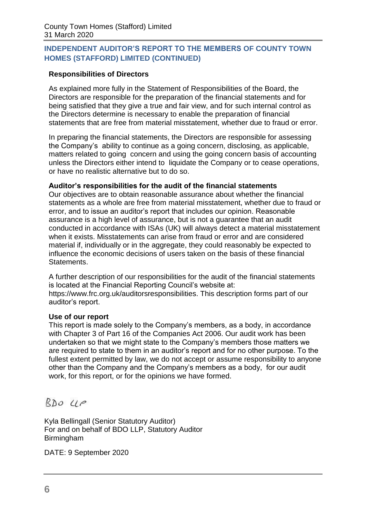## **INDEPENDENT AUDITOR'S REPORT TO THE MEMBERS OF COUNTY TOWN HOMES (STAFFORD) LIMITED (CONTINUED)**

#### **Responsibilities of Directors**

As explained more fully in the Statement of Responsibilities of the Board, the Directors are responsible for the preparation of the financial statements and for being satisfied that they give a true and fair view, and for such internal control as the Directors determine is necessary to enable the preparation of financial statements that are free from material misstatement, whether due to fraud or error.

In preparing the financial statements, the Directors are responsible for assessing the Company's ability to continue as a going concern, disclosing, as applicable, matters related to going concern and using the going concern basis of accounting unless the Directors either intend to liquidate the Company or to cease operations, or have no realistic alternative but to do so.

#### **Auditor's responsibilities for the audit of the financial statements**

Our objectives are to obtain reasonable assurance about whether the financial statements as a whole are free from material misstatement, whether due to fraud or error, and to issue an auditor's report that includes our opinion. Reasonable assurance is a high level of assurance, but is not a guarantee that an audit conducted in accordance with ISAs (UK) will always detect a material misstatement when it exists. Misstatements can arise from fraud or error and are considered material if, individually or in the aggregate, they could reasonably be expected to influence the economic decisions of users taken on the basis of these financial Statements.

A further description of our responsibilities for the audit of the financial statements is located at the Financial Reporting Council's website at: https://www.frc.org.uk/auditorsresponsibilities. This description forms part of our auditor's report.

#### **Use of our report**

This report is made solely to the Company's members, as a body, in accordance with Chapter 3 of Part 16 of the Companies Act 2006. Our audit work has been undertaken so that we might state to the Company's members those matters we are required to state to them in an auditor's report and for no other purpose. To the fullest extent permitted by law, we do not accept or assume responsibility to anyone other than the Company and the Company's members as a body, for our audit work, for this report, or for the opinions we have formed.

 $RDOUP$ 

Kyla Bellingall (Senior Statutory Auditor) For and on behalf of BDO LLP, Statutory Auditor Birmingham

DATE: 9 September 2020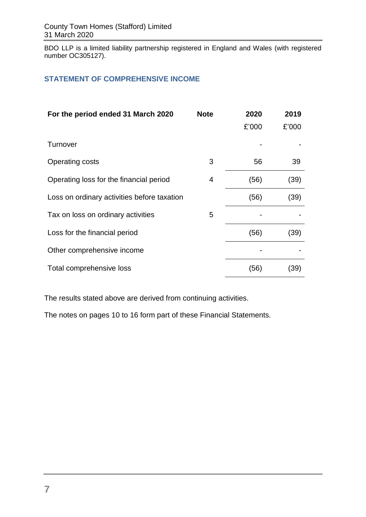BDO LLP is a limited liability partnership registered in England and Wales (with registered number OC305127).

### **STATEMENT OF COMPREHENSIVE INCOME**

| For the period ended 31 March 2020          | <b>Note</b> | 2020  | 2019  |
|---------------------------------------------|-------------|-------|-------|
|                                             |             | £'000 | £'000 |
| Turnover                                    |             |       |       |
| Operating costs                             | 3           | 56    | 39    |
| Operating loss for the financial period     | 4           | (56)  | (39)  |
| Loss on ordinary activities before taxation |             | (56)  | (39)  |
| Tax on loss on ordinary activities          | 5           |       |       |
| Loss for the financial period               |             | (56)  | (39)  |
| Other comprehensive income                  |             |       |       |
| Total comprehensive loss                    |             | (56)  | (39)  |

The results stated above are derived from continuing activities.

The notes on pages 10 to 16 form part of these Financial Statements.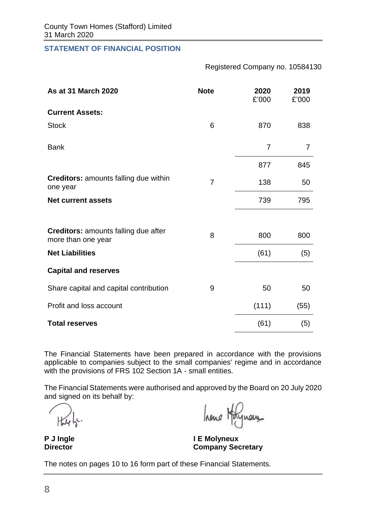#### **STATEMENT OF FINANCIAL POSITION**

Registered Company no. 10584130

| <b>As at 31 March 2020</b>                                        | <b>Note</b>    | 2020<br>£'000  | 2019<br>£'000 |
|-------------------------------------------------------------------|----------------|----------------|---------------|
| <b>Current Assets:</b>                                            |                |                |               |
| <b>Stock</b>                                                      | 6              | 870            | 838           |
| <b>Bank</b>                                                       |                | $\overline{7}$ | 7             |
|                                                                   |                | 877            | 845           |
| <b>Creditors: amounts falling due within</b><br>one year          | $\overline{7}$ | 138            | 50            |
| <b>Net current assets</b>                                         |                | 739            | 795           |
|                                                                   |                |                |               |
| <b>Creditors: amounts falling due after</b><br>more than one year | 8              | 800            | 800           |
| <b>Net Liabilities</b>                                            |                | (61)           | (5)           |
| <b>Capital and reserves</b>                                       |                |                |               |
| Share capital and capital contribution                            | 9              | 50             | 50            |
| Profit and loss account                                           |                | (111)          | (55)          |
| <b>Total reserves</b>                                             |                | (61)           | (5)           |

The Financial Statements have been prepared in accordance with the provisions applicable to companies subject to the small companies' regime and in accordance with the provisions of FRS 102 Section 1A - small entities.

The Financial Statements were authorised and approved by the Board on 20 July 2020 and signed on its behalf by:

hene Holynous

**P J Ingle I E Molyneux Director** Company Secretary

The notes on pages 10 to 16 form part of these Financial Statements.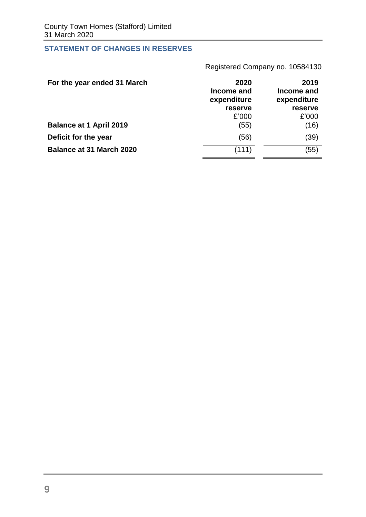## **STATEMENT OF CHANGES IN RESERVES**

Registered Company no. 10584130

<span id="page-10-0"></span>

| For the year ended 31 March     | 2020<br>Income and<br>expenditure | 2019<br>Income and<br>expenditure |
|---------------------------------|-----------------------------------|-----------------------------------|
|                                 | reserve                           | reserve                           |
|                                 | £'000                             | £'000                             |
| <b>Balance at 1 April 2019</b>  | (55)                              | (16)                              |
| Deficit for the year            | (56)                              | (39)                              |
| <b>Balance at 31 March 2020</b> | (111)                             | (55)                              |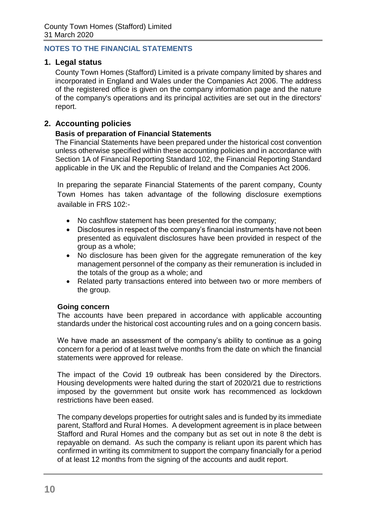#### **NOTES TO THE FINANCIAL STATEMENTS**

#### **1. Legal status**

County Town Homes (Stafford) Limited is a private company limited by shares and incorporated in England and Wales under the Companies Act 2006. The address of the registered office is given on the company information page and the nature of the company's operations and its principal activities are set out in the directors' report.

### **2. Accounting policies**

#### **Basis of preparation of Financial Statements**

The Financial Statements have been prepared under the historical cost convention unless otherwise specified within these accounting policies and in accordance with Section 1A of Financial Reporting Standard 102, the Financial Reporting Standard applicable in the UK and the Republic of Ireland and the Companies Act 2006.

In preparing the separate Financial Statements of the parent company, County Town Homes has taken advantage of the following disclosure exemptions available in FRS 102:-

- No cashflow statement has been presented for the company;
- Disclosures in respect of the company's financial instruments have not been presented as equivalent disclosures have been provided in respect of the group as a whole;
- No disclosure has been given for the aggregate remuneration of the key management personnel of the company as their remuneration is included in the totals of the group as a whole; and
- Related party transactions entered into between two or more members of the group.

#### **Going concern**

The accounts have been prepared in accordance with applicable accounting standards under the historical cost accounting rules and on a going concern basis.

We have made an assessment of the company's ability to continue as a going concern for a period of at least twelve months from the date on which the financial statements were approved for release.

The impact of the Covid 19 outbreak has been considered by the Directors. Housing developments were halted during the start of 2020/21 due to restrictions imposed by the government but onsite work has recommenced as lockdown restrictions have been eased.

The company develops properties for outright sales and is funded by its immediate parent, Stafford and Rural Homes. A development agreement is in place between Stafford and Rural Homes and the company but as set out in note 8 the debt is repayable on demand. As such the company is reliant upon its parent which has confirmed in writing its commitment to support the company financially for a period of at least 12 months from the signing of the accounts and audit report.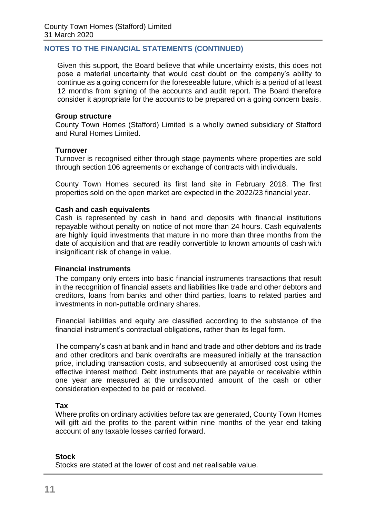Given this support, the Board believe that while uncertainty exists, this does not pose a material uncertainty that would cast doubt on the company's ability to continue as a going concern for the foreseeable future, which is a period of at least 12 months from signing of the accounts and audit report. The Board therefore consider it appropriate for the accounts to be prepared on a going concern basis.

#### **Group structure**

County Town Homes (Stafford) Limited is a wholly owned subsidiary of Stafford and Rural Homes Limited.

#### **Turnover**

Turnover is recognised either through stage payments where properties are sold through section 106 agreements or exchange of contracts with individuals.

County Town Homes secured its first land site in February 2018. The first properties sold on the open market are expected in the 2022/23 financial year.

#### **Cash and cash equivalents**

Cash is represented by cash in hand and deposits with financial institutions repayable without penalty on notice of not more than 24 hours. Cash equivalents are highly liquid investments that mature in no more than three months from the date of acquisition and that are readily convertible to known amounts of cash with insignificant risk of change in value.

#### **Financial instruments**

The company only enters into basic financial instruments transactions that result in the recognition of financial assets and liabilities like trade and other debtors and creditors, loans from banks and other third parties, loans to related parties and investments in non-puttable ordinary shares.

Financial liabilities and equity are classified according to the substance of the financial instrument's contractual obligations, rather than its legal form.

The company's cash at bank and in hand and trade and other debtors and its trade and other creditors and bank overdrafts are measured initially at the transaction price, including transaction costs, and subsequently at amortised cost using the effective interest method. Debt instruments that are payable or receivable within one year are measured at the undiscounted amount of the cash or other consideration expected to be paid or received.

#### **Tax**

Where profits on ordinary activities before tax are generated, County Town Homes will gift aid the profits to the parent within nine months of the year end taking account of any taxable losses carried forward.

#### **Stock**

Stocks are stated at the lower of cost and net realisable value.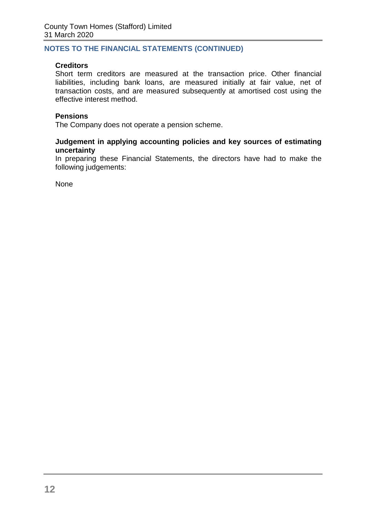#### **Creditors**

Short term creditors are measured at the transaction price. Other financial liabilities, including bank loans, are measured initially at fair value, net of transaction costs, and are measured subsequently at amortised cost using the effective interest method.

#### **Pensions**

The Company does not operate a pension scheme.

#### **Judgement in applying accounting policies and key sources of estimating uncertainty**

In preparing these Financial Statements, the directors have had to make the following judgements:

None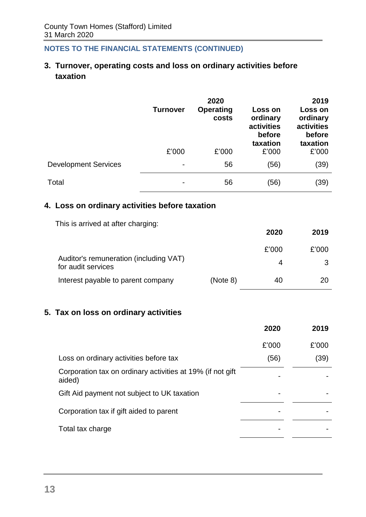## **3. Turnover, operating costs and loss on ordinary activities before taxation**

|                             | <b>Turnover</b> | 2020<br><b>Operating</b><br>costs | Loss on<br>ordinary<br>activities<br>before | 2019<br>Loss on<br>ordinary<br>activities<br>before |
|-----------------------------|-----------------|-----------------------------------|---------------------------------------------|-----------------------------------------------------|
|                             | £'000           | £'000                             | taxation<br>£'000                           | taxation<br>£'000                                   |
| <b>Development Services</b> |                 | 56                                | (56)                                        | (39)                                                |
| Total                       |                 | 56                                | (56)                                        | (39)                                                |

## **4. Loss on ordinary activities before taxation**

This is arrived at after charging:

|                                                              |          | 2020  | 2019  |
|--------------------------------------------------------------|----------|-------|-------|
|                                                              |          | £'000 | £'000 |
| Auditor's remuneration (including VAT)<br>for audit services |          | 4     |       |
| Interest payable to parent company                           | (Note 8) | 40    | 20    |

## **5. Tax on loss on ordinary activities**

|                                                                      | 2020  | 2019  |
|----------------------------------------------------------------------|-------|-------|
|                                                                      | £'000 | £'000 |
| Loss on ordinary activities before tax                               | (56)  | (39)  |
| Corporation tax on ordinary activities at 19% (if not gift<br>aided) |       |       |
| Gift Aid payment not subject to UK taxation                          | ۰     |       |
| Corporation tax if gift aided to parent                              |       |       |
| Total tax charge                                                     |       |       |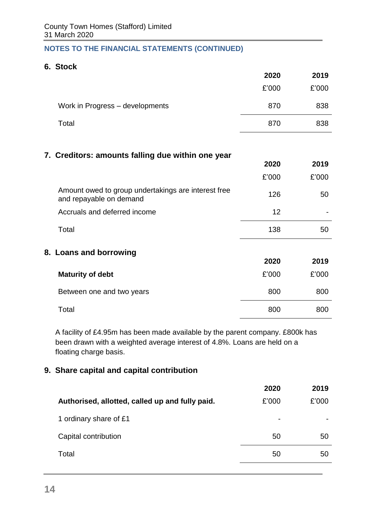## **6. Stock**

|                                 | 2020  | 2019  |
|---------------------------------|-------|-------|
|                                 | £'000 | £'000 |
| Work in Progress – developments | 870   | 838   |
| Total                           | 870   | 838   |

#### **7. Creditors: amounts falling due within one year**

|                                                                                | 2020  | 2019  |
|--------------------------------------------------------------------------------|-------|-------|
|                                                                                | £'000 | £'000 |
| Amount owed to group undertakings are interest free<br>and repayable on demand | 126   | 50    |
| Accruals and deferred income                                                   | 12    |       |
| Total                                                                          | 138   | 50    |

#### **8. Loans and borrowing**

|                           | 2020  | 2019  |
|---------------------------|-------|-------|
| <b>Maturity of debt</b>   | £'000 | £'000 |
| Between one and two years | 800   | 800   |
| Total                     | 800   | 800   |

A facility of £4.95m has been made available by the parent company. £800k has been drawn with a weighted average interest of 4.8%. Loans are held on a floating charge basis.

## **9. Share capital and capital contribution**

|                                                 | 2020           | 2019  |
|-------------------------------------------------|----------------|-------|
| Authorised, allotted, called up and fully paid. | £'000          | £'000 |
| 1 ordinary share of £1                          | $\blacksquare$ |       |
| Capital contribution                            | 50             | 50    |
| Total                                           | 50             | 50    |
|                                                 |                |       |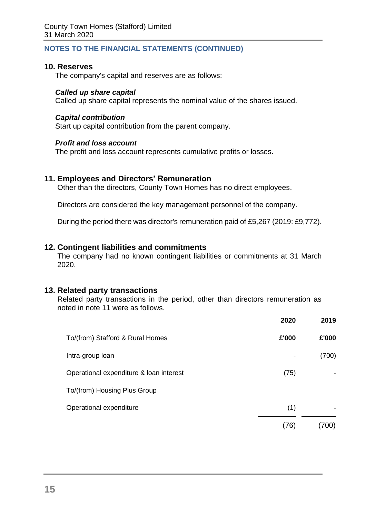#### **10. Reserves**

The company's capital and reserves are as follows:

#### *Called up share capital*

Called up share capital represents the nominal value of the shares issued.

#### *Capital contribution*

Start up capital contribution from the parent company.

#### *Profit and loss account*

The profit and loss account represents cumulative profits or losses.

#### **11. Employees and Directors' Remuneration**

Other than the directors, County Town Homes has no direct employees.

Directors are considered the key management personnel of the company.

During the period there was director's remuneration paid of £5,267 (2019: £9,772).

#### **12. Contingent liabilities and commitments**

The company had no known contingent liabilities or commitments at 31 March 2020.

#### **13. Related party transactions**

Related party transactions in the period, other than directors remuneration as noted in note 11 were as follows.

|                                         | 2020  | 2019  |
|-----------------------------------------|-------|-------|
| To/(from) Stafford & Rural Homes        | £'000 | £'000 |
| Intra-group loan                        |       | (700) |
| Operational expenditure & loan interest | (75)  |       |
| To/(from) Housing Plus Group            |       |       |
| Operational expenditure                 | (1)   |       |
|                                         | (76)  | 700)  |